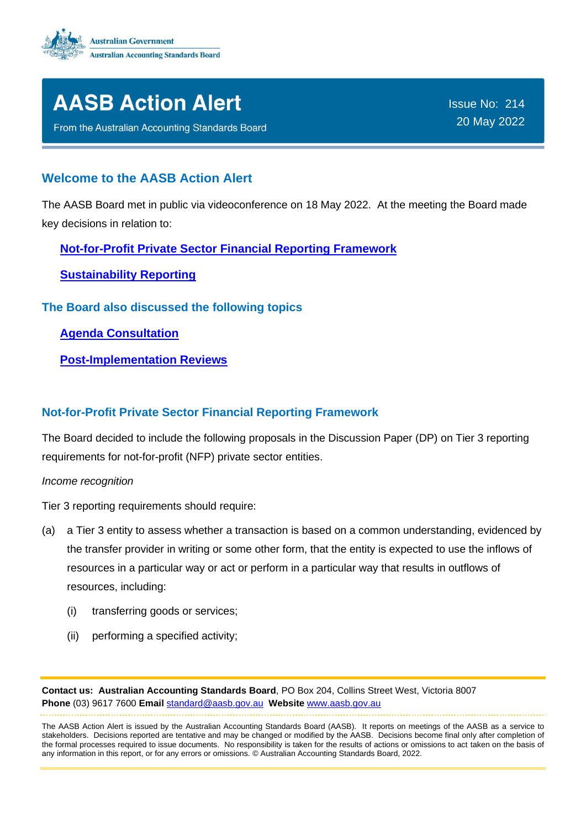



From the Australian Accounting Standards Board

Issue No: 214 20 May 2022

#### **Welcome to the AASB Action Alert**

The AASB Board met in public via videoconference on 18 May 2022. At the meeting the Board made key decisions in relation to:

**[Not-for-Profit Private Sector Financial Reporting Framework](#page-0-0)**

**[Sustainability Reporting](#page-1-0)**

**The Board also discussed the following topics**

**[Agenda Consultation](#page-2-0)**

**[Post-Implementation Reviews](#page-2-1)**

#### <span id="page-0-0"></span>**Not-for-Profit Private Sector Financial Reporting Framework**

The Board decided to include the following proposals in the Discussion Paper (DP) on Tier 3 reporting requirements for not-for-profit (NFP) private sector entities.

*Income recognition*

Tier 3 reporting requirements should require:

- (a) a Tier 3 entity to assess whether a transaction is based on a common understanding, evidenced by the transfer provider in writing or some other form, that the entity is expected to use the inflows of resources in a particular way or act or perform in a particular way that results in outflows of resources, including:
	- (i) transferring goods or services;
	- (ii) performing a specified activity;

**Contact us: Australian Accounting Standards Board**, PO Box 204, Collins Street West, Victoria 8007 **Phone** (03) 9617 7600 **Email** [standard@aasb.gov.au](mailto:standard@aasb.gov.au) **Website** [www.aasb.gov.au](http://www.aasb.gov.au/) 

The AASB Action Alert is issued by the Australian Accounting Standards Board (AASB). It reports on meetings of the AASB as a service to stakeholders. Decisions reported are tentative and may be changed or modified by the AASB. Decisions become final only after completion of the formal processes required to issue documents. No responsibility is taken for the results of actions or omissions to act taken on the basis of any information in this report, or for any errors or omissions. © Australian Accounting Standards Board, 2022.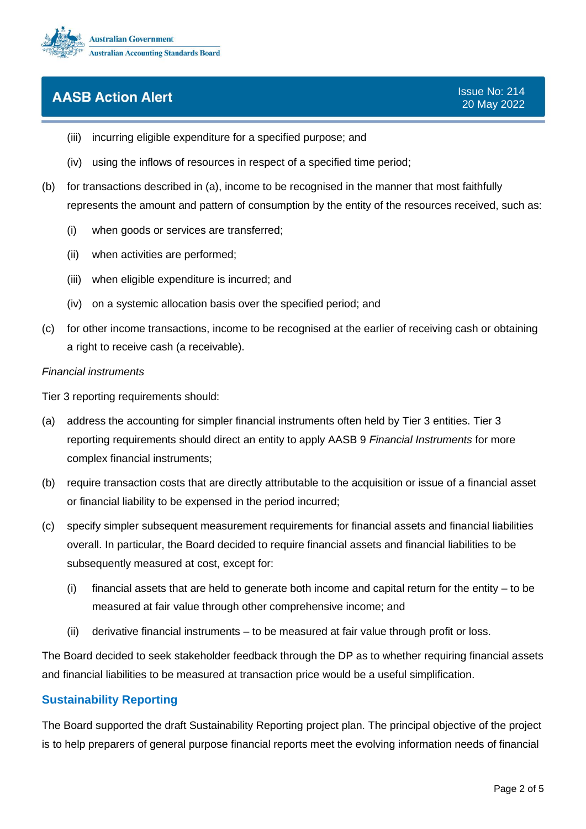

- (iii) incurring eligible expenditure for a specified purpose; and
- (iv) using the inflows of resources in respect of a specified time period;
- (b) for transactions described in (a), income to be recognised in the manner that most faithfully represents the amount and pattern of consumption by the entity of the resources received, such as:
	- (i) when goods or services are transferred;
	- (ii) when activities are performed;
	- (iii) when eligible expenditure is incurred; and
	- (iv) on a systemic allocation basis over the specified period; and
- (c) for other income transactions, income to be recognised at the earlier of receiving cash or obtaining a right to receive cash (a receivable).

#### *Financial instruments*

Tier 3 reporting requirements should:

- (a) address the accounting for simpler financial instruments often held by Tier 3 entities. Tier 3 reporting requirements should direct an entity to apply AASB 9 *Financial Instruments* for more complex financial instruments;
- (b) require transaction costs that are directly attributable to the acquisition or issue of a financial asset or financial liability to be expensed in the period incurred;
- (c) specify simpler subsequent measurement requirements for financial assets and financial liabilities overall. In particular, the Board decided to require financial assets and financial liabilities to be subsequently measured at cost, except for:
	- (i) financial assets that are held to generate both income and capital return for the entity to be measured at fair value through other comprehensive income; and
	- (ii) derivative financial instruments to be measured at fair value through profit or loss.

The Board decided to seek stakeholder feedback through the DP as to whether requiring financial assets and financial liabilities to be measured at transaction price would be a useful simplification.

#### <span id="page-1-0"></span>**Sustainability Reporting**

The Board supported the draft Sustainability Reporting project plan. The principal objective of the project is to help preparers of general purpose financial reports meet the evolving information needs of financial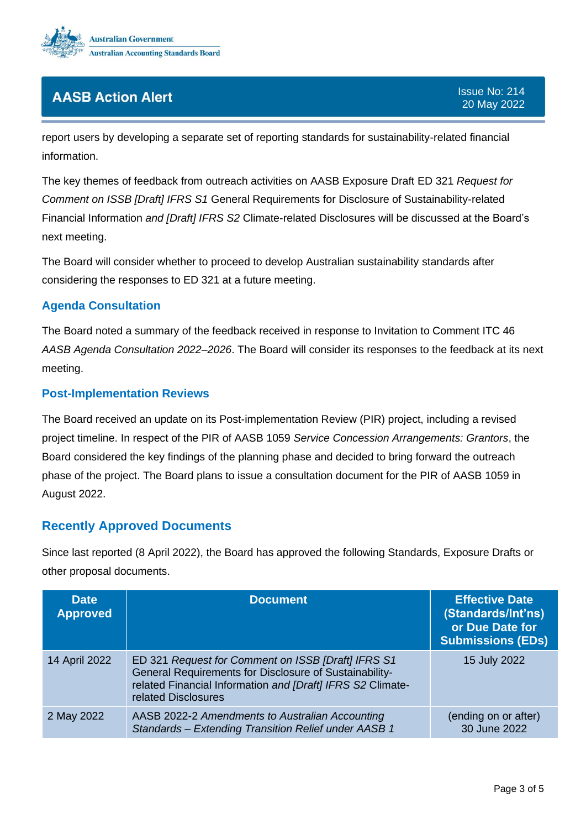

report users by developing a separate set of reporting standards for sustainability-related financial information.

The key themes of feedback from outreach activities on AASB Exposure Draft ED 321 *Request for Comment on ISSB [Draft] IFRS S1* General Requirements for Disclosure of Sustainability-related Financial Information *and [Draft] IFRS S2* Climate-related Disclosures will be discussed at the Board's next meeting.

The Board will consider whether to proceed to develop Australian sustainability standards after considering the responses to ED 321 at a future meeting.

### <span id="page-2-0"></span>**Agenda Consultation**

The Board noted a summary of the feedback received in response to Invitation to Comment ITC 46 *AASB Agenda Consultation 2022–2026*. The Board will consider its responses to the feedback at its next meeting.

#### <span id="page-2-1"></span>**Post-Implementation Reviews**

The Board received an update on its Post-implementation Review (PIR) project, including a revised project timeline. In respect of the PIR of AASB 1059 *Service Concession Arrangements: Grantors*, the Board considered the key findings of the planning phase and decided to bring forward the outreach phase of the project. The Board plans to issue a consultation document for the PIR of AASB 1059 in August 2022.

### **Recently Approved Documents**

Since last reported (8 April 2022), the Board has approved the following Standards, Exposure Drafts or other proposal documents.

| <b>Date</b><br><b>Approved</b> | <b>Document</b>                                                                                                                                                                                   | <b>Effective Date</b><br>(Standards/Int'ns)<br>or Due Date for<br><b>Submissions (EDs)</b> |
|--------------------------------|---------------------------------------------------------------------------------------------------------------------------------------------------------------------------------------------------|--------------------------------------------------------------------------------------------|
| 14 April 2022                  | ED 321 Request for Comment on ISSB [Draft] IFRS S1<br>General Requirements for Disclosure of Sustainability-<br>related Financial Information and [Draft] IFRS S2 Climate-<br>related Disclosures | 15 July 2022                                                                               |
| 2 May 2022                     | AASB 2022-2 Amendments to Australian Accounting<br>Standards - Extending Transition Relief under AASB 1                                                                                           | (ending on or after)<br>30 June 2022                                                       |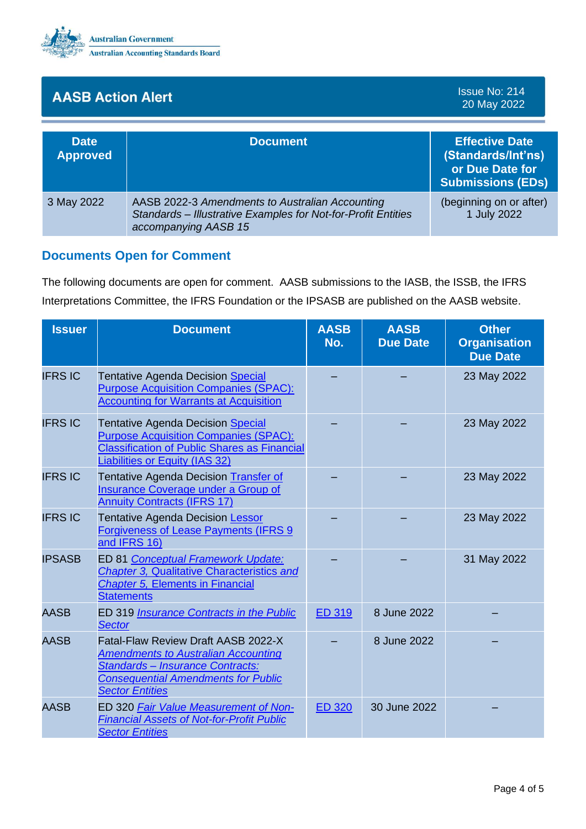

Issue No: 214 20 May 2022

| <b>Date</b><br><b>Approved</b> | <b>Document</b>                                                                                                                          | <b>Effective Date</b><br>(Standards/Int'ns)<br>or Due Date for<br><b>Submissions (EDs)</b> |
|--------------------------------|------------------------------------------------------------------------------------------------------------------------------------------|--------------------------------------------------------------------------------------------|
| 3 May 2022                     | AASB 2022-3 Amendments to Australian Accounting<br>Standards - Illustrative Examples for Not-for-Profit Entities<br>accompanying AASB 15 | (beginning on or after)<br>1 July 2022                                                     |

### **Documents Open for Comment**

The following documents are open for comment. AASB submissions to the IASB, the ISSB, the IFRS Interpretations Committee, the IFRS Foundation or the IPSASB are published on the AASB website.

| <b>Issuer</b>  | <b>Document</b>                                                                                                                                                                               | <b>AASB</b><br>No. | <b>AASB</b><br><b>Due Date</b> | <b>Other</b><br><b>Organisation</b><br><b>Due Date</b> |
|----------------|-----------------------------------------------------------------------------------------------------------------------------------------------------------------------------------------------|--------------------|--------------------------------|--------------------------------------------------------|
| <b>IFRS IC</b> | <b>Tentative Agenda Decision Special</b><br><b>Purpose Acquisition Companies (SPAC):</b><br><b>Accounting for Warrants at Acquisition</b>                                                     |                    |                                | 23 May 2022                                            |
| <b>IFRS IC</b> | <b>Tentative Agenda Decision Special</b><br><b>Purpose Acquisition Companies (SPAC):</b><br><b>Classification of Public Shares as Financial</b><br>Liabilities or Equity (IAS 32)             |                    |                                | 23 May 2022                                            |
| <b>IFRS IC</b> | Tentative Agenda Decision Transfer of<br><b>Insurance Coverage under a Group of</b><br><b>Annuity Contracts (IFRS 17)</b>                                                                     |                    |                                | 23 May 2022                                            |
| <b>IFRS IC</b> | <b>Tentative Agenda Decision Lessor</b><br><b>Forgiveness of Lease Payments (IFRS 9</b><br>and IFRS 16)                                                                                       |                    |                                | 23 May 2022                                            |
| <b>IPSASB</b>  | ED 81 Conceptual Framework Update:<br><b>Chapter 3, Qualitative Characteristics and</b><br><b>Chapter 5, Elements in Financial</b><br><b>Statements</b>                                       |                    |                                | 31 May 2022                                            |
| <b>AASB</b>    | ED 319 <b>Insurance Contracts in the Public</b><br><b>Sector</b>                                                                                                                              | <b>ED 319</b>      | 8 June 2022                    |                                                        |
| <b>AASB</b>    | Fatal-Flaw Review Draft AASB 2022-X<br><b>Amendments to Australian Accounting</b><br>Standards - Insurance Contracts:<br><b>Consequential Amendments for Public</b><br><b>Sector Entities</b> |                    | 8 June 2022                    |                                                        |
| <b>AASB</b>    | ED 320 Fair Value Measurement of Non-<br><b>Financial Assets of Not-for-Profit Public</b><br><b>Sector Entities</b>                                                                           | <b>ED 320</b>      | 30 June 2022                   |                                                        |